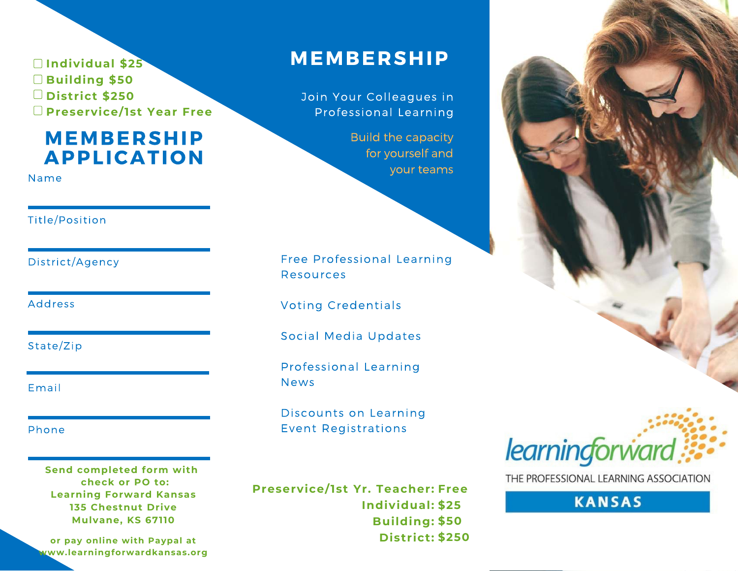□ Individual \$25 **Building \$50** District \$250 □ Preservice/1st Year Free

### **MEMBERSHIP APPLICATION**

Name

#### Title/Position

District/Agency

**Address** 

State/Zip

Email

Phone

Send completed form with check or PO to: **Learning Forward Kansas 135 Chestnut Drive Mulvane, KS 67110** 

or pay online with Paypal at www.learningforwardkansas.org

### **MEMBERSHIP**

Join Your Colleagues in Professional Learning

> **Build the capacity** for yourself and your teams

Free Professional Learning **Resources** 

**Voting Credentials** 

Social Media Updates

Professional Learning **News** 

Discounts on Learning **Event Registrations** 

Preservice/1st Yr. Teacher: Free Individual: \$25 Building: \$50 District: \$250





THE PROFESSIONAL LEARNING ASSOCIATION

**KANSAS**